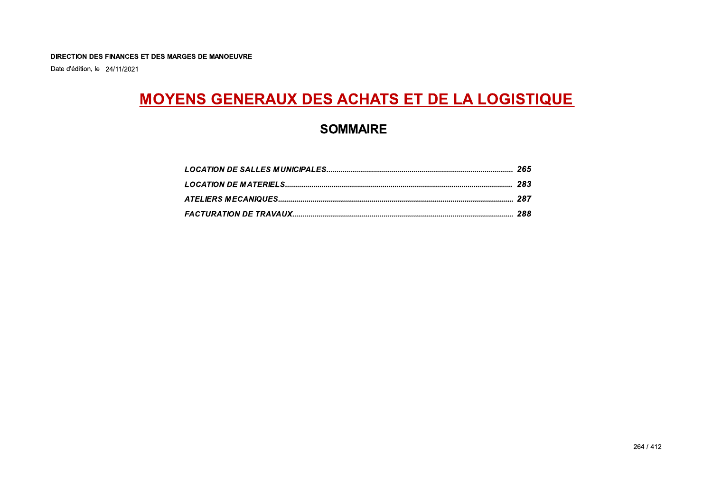Date d'édition, le 24/11/2021

# **MOYENS GENERAUX DES ACHATS ET DE LA LOGISTIQUE**

## **SOMMAIRE**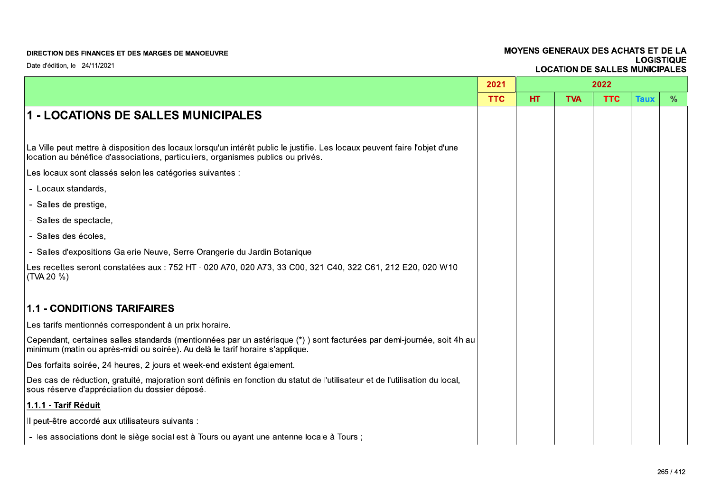|                                                                                                                                                                                                                | 2021       |    |            | 2022       |             |               |
|----------------------------------------------------------------------------------------------------------------------------------------------------------------------------------------------------------------|------------|----|------------|------------|-------------|---------------|
|                                                                                                                                                                                                                | <b>TTC</b> | HT | <b>TVA</b> | <b>TTC</b> | <b>Taux</b> | $\frac{9}{6}$ |
| 1 - LOCATIONS DE SALLES MUNICIPALES                                                                                                                                                                            |            |    |            |            |             |               |
|                                                                                                                                                                                                                |            |    |            |            |             |               |
| La Ville peut mettre à disposition des locaux lorsqu'un intérêt public le justifie. Les locaux peuvent faire l'objet d'une<br>location au bénéfice d'associations, particuliers, organismes publics ou privés. |            |    |            |            |             |               |
| Les locaux sont classés selon les catégories suivantes :                                                                                                                                                       |            |    |            |            |             |               |
| - Locaux standards,                                                                                                                                                                                            |            |    |            |            |             |               |
| - Salles de prestige,                                                                                                                                                                                          |            |    |            |            |             |               |
| - Salles de spectacle,                                                                                                                                                                                         |            |    |            |            |             |               |
| - Salles des écoles,                                                                                                                                                                                           |            |    |            |            |             |               |
| - Salles d'expositions Galerie Neuve, Serre Orangerie du Jardin Botanique                                                                                                                                      |            |    |            |            |             |               |
| Les recettes seront constatées aux : 752 HT - 020 A70, 020 A73, 33 C00, 321 C40, 322 C61, 212 E20, 020 W10<br>(TVA 20 %)                                                                                       |            |    |            |            |             |               |
| <b>1.1 - CONDITIONS TARIFAIRES</b>                                                                                                                                                                             |            |    |            |            |             |               |
| Les tarifs mentionnés correspondent à un prix horaire.                                                                                                                                                         |            |    |            |            |             |               |
| Cependant, certaines salles standards (mentionnées par un astérisque (*)) sont facturées par demi-journée, soit 4h au<br>minimum (matin ou après-midi ou soirée). Au delà le tarif horaire s'applique.         |            |    |            |            |             |               |
| Des forfaits soirée, 24 heures, 2 jours et week-end existent également.                                                                                                                                        |            |    |            |            |             |               |
| Des cas de réduction, gratuité, majoration sont définis en fonction du statut de l'utilisateur et de l'utilisation du local,<br>sous réserve d'appréciation du dossier déposé.                                 |            |    |            |            |             |               |
| 1.1.1 - Tarif Réduit                                                                                                                                                                                           |            |    |            |            |             |               |
| Il peut-être accordé aux utilisateurs suivants :                                                                                                                                                               |            |    |            |            |             |               |
| - les associations dont le siège social est à Tours ou ayant une antenne locale à Tours ;                                                                                                                      |            |    |            |            |             |               |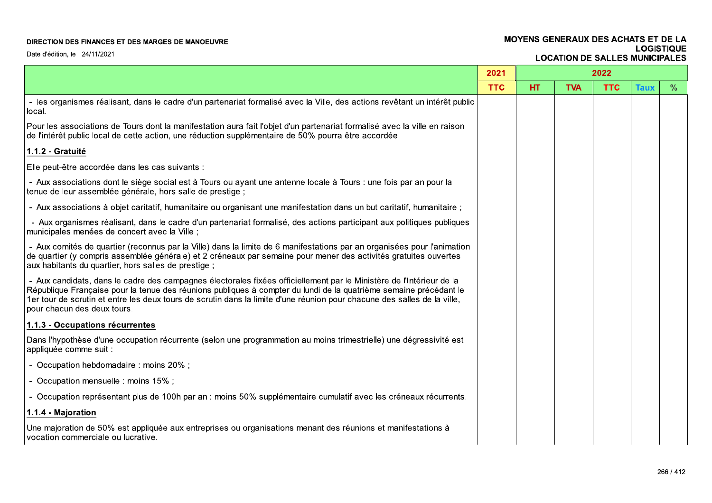### MOYENS GENERAUX DES ACHATS ET DE LA **LOGISTIQUE LOCATION DE SALLES MUNICIPALES**

|                                                                                                                                                                                                                                                                                                                                                                                                      | 2021       |           |            | 2022       |             |      |
|------------------------------------------------------------------------------------------------------------------------------------------------------------------------------------------------------------------------------------------------------------------------------------------------------------------------------------------------------------------------------------------------------|------------|-----------|------------|------------|-------------|------|
|                                                                                                                                                                                                                                                                                                                                                                                                      | <b>TTC</b> | <b>HT</b> | <b>TVA</b> | <b>TTC</b> | <b>Taux</b> | $\%$ |
| - les organismes réalisant, dans le cadre d'un partenariat formalisé avec la Ville, des actions revêtant un intérêt public<br>local.                                                                                                                                                                                                                                                                 |            |           |            |            |             |      |
| Pour les associations de Tours dont la manifestation aura fait l'objet d'un partenariat formalisé avec la ville en raison<br>de l'intérêt public local de cette action, une réduction supplémentaire de 50% pourra être accordée.                                                                                                                                                                    |            |           |            |            |             |      |
| 1.1.2 - Gratuité                                                                                                                                                                                                                                                                                                                                                                                     |            |           |            |            |             |      |
| Elle peut-être accordée dans les cas suivants :                                                                                                                                                                                                                                                                                                                                                      |            |           |            |            |             |      |
| - Aux associations dont le siège social est à Tours ou ayant une antenne locale à Tours : une fois par an pour la<br>tenue de leur assemblée générale, hors salle de prestige ;                                                                                                                                                                                                                      |            |           |            |            |             |      |
| - Aux associations à objet caritatif, humanitaire ou organisant une manifestation dans un but caritatif, humanitaire ;                                                                                                                                                                                                                                                                               |            |           |            |            |             |      |
| - Aux organismes réalisant, dans le cadre d'un partenariat formalisé, des actions participant aux politiques publiques<br>municipales menées de concert avec la Ville ;                                                                                                                                                                                                                              |            |           |            |            |             |      |
| - Aux comités de quartier (reconnus par la Ville) dans la limite de 6 manifestations par an organisées pour l'animation<br>de quartier (y compris assemblée générale) et 2 créneaux par semaine pour mener des activités gratuites ouvertes<br>aux habitants du quartier, hors salles de prestige;                                                                                                   |            |           |            |            |             |      |
| - Aux candidats, dans le cadre des campagnes électorales fixées officiellement par le Ministère de l'Intérieur de la<br>République Française pour la tenue des réunions publiques à compter du lundi de la quatrième semaine précédant le<br>1er tour de scrutin et entre les deux tours de scrutin dans la limite d'une réunion pour chacune des salles de la ville,<br>pour chacun des deux tours. |            |           |            |            |             |      |
| 1.1.3 - Occupations récurrentes                                                                                                                                                                                                                                                                                                                                                                      |            |           |            |            |             |      |
| Dans l'hypothèse d'une occupation récurrente (selon une programmation au moins trimestrielle) une dégressivité est<br>appliquée comme suit :                                                                                                                                                                                                                                                         |            |           |            |            |             |      |
| - Occupation hebdomadaire : moins 20% ;                                                                                                                                                                                                                                                                                                                                                              |            |           |            |            |             |      |
| - Occupation mensuelle : moins 15%;                                                                                                                                                                                                                                                                                                                                                                  |            |           |            |            |             |      |
| - Occupation représentant plus de 100h par an : moins 50% supplémentaire cumulatif avec les créneaux récurrents.                                                                                                                                                                                                                                                                                     |            |           |            |            |             |      |
| 1.1.4 - Majoration                                                                                                                                                                                                                                                                                                                                                                                   |            |           |            |            |             |      |
| Une majoration de 50% est appliquée aux entreprises ou organisations menant des réunions et manifestations à<br>vocation commerciale ou lucrative.                                                                                                                                                                                                                                                   |            |           |            |            |             |      |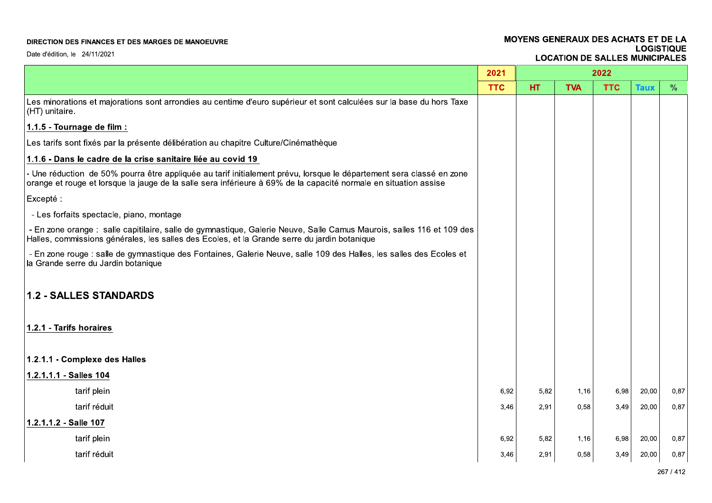### MOYENS GENERAUX DES ACHATS ET DE LA **LOGISTIQUE LOCATION DE SALLES MUNICIPALES**

|                                                                                                                                                                                                                                          | 2021       |           |            | 2022       |             |               |
|------------------------------------------------------------------------------------------------------------------------------------------------------------------------------------------------------------------------------------------|------------|-----------|------------|------------|-------------|---------------|
|                                                                                                                                                                                                                                          | <b>TTC</b> | <b>HT</b> | <b>TVA</b> | <b>TTC</b> | <b>Taux</b> | $\frac{0}{0}$ |
| Les minorations et majorations sont arrondies au centime d'euro supérieur et sont calculées sur la base du hors Taxe<br>(HT) unitaire.                                                                                                   |            |           |            |            |             |               |
| 1.1.5 - Tournage de film :                                                                                                                                                                                                               |            |           |            |            |             |               |
| Les tarifs sont fixés par la présente délibération au chapitre Culture/Cinémathèque                                                                                                                                                      |            |           |            |            |             |               |
| 1.1.6 - Dans le cadre de la crise sanitaire liée au covid 19                                                                                                                                                                             |            |           |            |            |             |               |
| - Une réduction de 50% pourra être appliquée au tarif initialement prévu, lorsque le département sera classé en zone<br>orange et rouge et lorsque la jauge de la salle sera inférieure à 69% de la capacité normale en situation assise |            |           |            |            |             |               |
| Excepté :                                                                                                                                                                                                                                |            |           |            |            |             |               |
| - Les forfaits spectacle, piano, montage                                                                                                                                                                                                 |            |           |            |            |             |               |
| - En zone orange : salle capitilaire, salle de gymnastique, Galerie Neuve, Salle Camus Maurois, salles 116 et 109 des<br>Halles, commissions générales, les salles des Ecoles, et la Grande serre du jardin botanique                    |            |           |            |            |             |               |
| - En zone rouge : salle de gymnastique des Fontaines, Galerie Neuve, salle 109 des Halles, les salles des Ecoles et<br>la Grande serre du Jardin botanique                                                                               |            |           |            |            |             |               |
| <b>1.2 - SALLES STANDARDS</b>                                                                                                                                                                                                            |            |           |            |            |             |               |
| 1.2.1 - Tarifs horaires                                                                                                                                                                                                                  |            |           |            |            |             |               |
| 1.2.1.1 - Complexe des Halles                                                                                                                                                                                                            |            |           |            |            |             |               |
| 1.2.1.1.1 - Salles 104                                                                                                                                                                                                                   |            |           |            |            |             |               |
| tarif plein                                                                                                                                                                                                                              | 6,92       | 5,82      | 1,16       | 6,98       | 20,00       | 0,87          |
| tarif réduit                                                                                                                                                                                                                             | 3,46       | 2,91      | 0,58       | 3,49       | 20,00       | 0,87          |
| 1.2.1.1.2 - Salle 107                                                                                                                                                                                                                    |            |           |            |            |             |               |
| tarif plein                                                                                                                                                                                                                              | 6.92       | 5,82      | 1,16       | 6,98       | 20,00       | 0,87          |
| tarif réduit                                                                                                                                                                                                                             | 3,46       | 2,91      | 0,58       | 3,49       | 20,00       | 0,87          |
|                                                                                                                                                                                                                                          |            |           |            |            |             |               |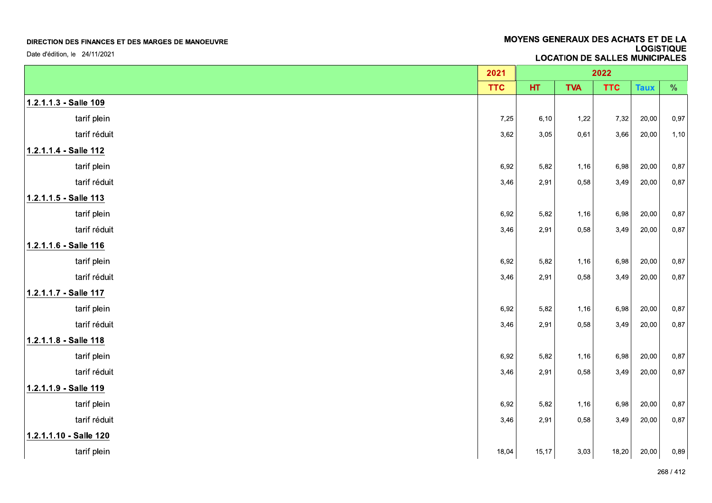Date d'édition, le 24/11/2021

|                        | 2021       |       |            | 2022       |             |      |
|------------------------|------------|-------|------------|------------|-------------|------|
|                        | <b>TTC</b> | HT.   | <b>TVA</b> | <b>TTC</b> | <b>Taux</b> | $\%$ |
| 1.2.1.1.3 - Salle 109  |            |       |            |            |             |      |
| tarif plein            | 7,25       | 6, 10 | 1,22       | 7,32       | 20,00       | 0,97 |
| tarif réduit           | 3,62       | 3,05  | 0,61       | 3,66       | 20,00       | 1,10 |
| 1.2.1.1.4 - Salle 112  |            |       |            |            |             |      |
| tarif plein            | 6,92       | 5,82  | 1,16       | 6,98       | 20,00       | 0,87 |
| tarif réduit           | 3,46       | 2,91  | 0,58       | 3,49       | 20,00       | 0,87 |
| 1.2.1.1.5 - Salle 113  |            |       |            |            |             |      |
| tarif plein            | 6,92       | 5,82  | 1,16       | 6,98       | 20,00       | 0,87 |
| tarif réduit           | 3,46       | 2,91  | 0,58       | 3,49       | 20,00       | 0,87 |
| 1.2.1.1.6 - Salle 116  |            |       |            |            |             |      |
| tarif plein            | 6,92       | 5,82  | 1,16       | 6,98       | 20,00       | 0,87 |
| tarif réduit           | 3,46       | 2,91  | 0,58       | 3,49       | 20,00       | 0,87 |
| 1.2.1.1.7 - Salle 117  |            |       |            |            |             |      |
| tarif plein            | 6,92       | 5,82  | 1,16       | 6,98       | 20,00       | 0,87 |
| tarif réduit           | 3,46       | 2,91  | 0,58       | 3,49       | 20,00       | 0,87 |
| 1.2.1.1.8 - Salle 118  |            |       |            |            |             |      |
| tarif plein            | 6,92       | 5,82  | 1,16       | 6,98       | 20,00       | 0,87 |
| tarif réduit           | 3,46       | 2,91  | 0,58       | 3,49       | 20,00       | 0,87 |
| 1.2.1.1.9 - Salle 119  |            |       |            |            |             |      |
| tarif plein            | 6,92       | 5,82  | 1,16       | 6,98       | 20,00       | 0,87 |
| tarif réduit           | 3,46       | 2,91  | 0,58       | 3,49       | 20,00       | 0,87 |
| 1.2.1.1.10 - Salle 120 |            |       |            |            |             |      |
| tarif plein            | 18,04      | 15,17 | 3,03       | 18,20      | 20,00       | 0,89 |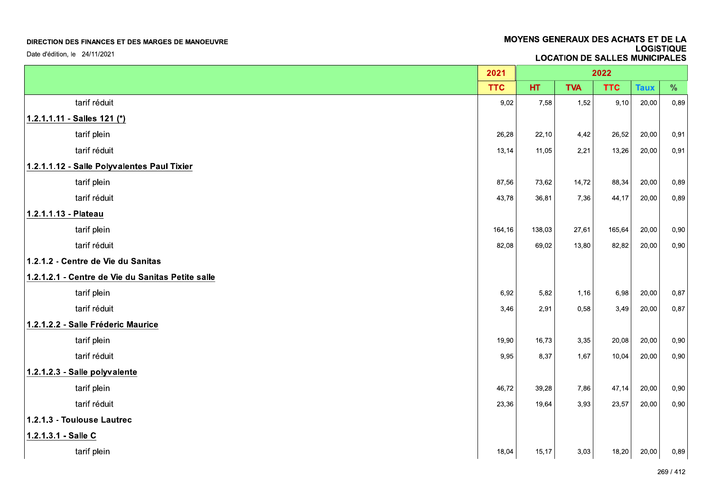| DIRECTION DES FINANCES ET DES MARGES DE MANOEUVRE<br>Date d'édition, le 24/11/2021 | MOYENS GENERAUX DES ACHATS ET DE LA<br><b>LOGISTIQUE</b><br><b>LOCATION DE SALLES MUNICIPALES</b> |        |            |            |             |      |  |
|------------------------------------------------------------------------------------|---------------------------------------------------------------------------------------------------|--------|------------|------------|-------------|------|--|
|                                                                                    |                                                                                                   |        |            |            |             |      |  |
|                                                                                    | 2021                                                                                              |        |            | 2022       |             |      |  |
|                                                                                    | <b>TTC</b>                                                                                        | HT.    | <b>TVA</b> | <b>TTC</b> | <b>Taux</b> | $\%$ |  |
| tarif réduit                                                                       | 9,02                                                                                              | 7,58   | 1,52       | 9,10       | 20,00       | 0,89 |  |
| 1.2.1.1.11 - Salles 121 (*)                                                        |                                                                                                   |        |            |            |             |      |  |
| tarif plein                                                                        | 26,28                                                                                             | 22,10  | 4,42       | 26,52      | 20,00       | 0,91 |  |
| tarif réduit                                                                       | 13,14                                                                                             | 11,05  | 2,21       | 13,26      | 20,00       | 0,91 |  |
| 1.2.1.1.12 - Salle Polyvalentes Paul Tixier                                        |                                                                                                   |        |            |            |             |      |  |
| tarif plein                                                                        | 87,56                                                                                             | 73,62  | 14,72      | 88,34      | 20,00       | 0,89 |  |
| tarif réduit                                                                       | 43,78                                                                                             | 36,81  | 7,36       | 44,17      | 20,00       | 0,89 |  |
| 1.2.1.1.13 - Plateau                                                               |                                                                                                   |        |            |            |             |      |  |
| tarif plein                                                                        | 164,16                                                                                            | 138,03 | 27,61      | 165,64     | 20,00       | 0,90 |  |
| tarif réduit                                                                       | 82,08                                                                                             | 69,02  | 13,80      | 82,82      | 20,00       | 0,90 |  |
| 1.2.1.2 - Centre de Vie du Sanitas                                                 |                                                                                                   |        |            |            |             |      |  |
| 1.2.1.2.1 - Centre de Vie du Sanitas Petite salle                                  |                                                                                                   |        |            |            |             |      |  |
| tarif plein                                                                        | 6,92                                                                                              | 5,82   | 1,16       | 6,98       | 20,00       | 0,87 |  |
| tarif réduit                                                                       | 3,46                                                                                              | 2,91   | 0,58       | 3,49       | 20,00       | 0,87 |  |
| 1.2.1.2.2 - Salle Fréderic Maurice                                                 |                                                                                                   |        |            |            |             |      |  |
| tarif plein                                                                        | 19,90                                                                                             | 16,73  | 3,35       | 20,08      | 20,00       | 0,90 |  |
| tarif réduit                                                                       | 9,95                                                                                              | 8,37   | 1,67       | 10,04      | 20,00       | 0,90 |  |
| 1.2.1.2.3 - Salle polyvalente                                                      |                                                                                                   |        |            |            |             |      |  |
| tarif plein                                                                        | 46,72                                                                                             | 39,28  | 7,86       | 47,14      | 20,00       | 0,90 |  |
| tarif réduit                                                                       | 23,36                                                                                             | 19,64  | 3,93       | 23,57      | 20,00       | 0,90 |  |
| 1.2.1.3 - Toulouse Lautrec                                                         |                                                                                                   |        |            |            |             |      |  |
| 1.2.1.3.1 - Salle C                                                                |                                                                                                   |        |            |            |             |      |  |
| tarif plein                                                                        | 18,04                                                                                             | 15, 17 | 3,03       | 18,20      | 20,00       | 0,89 |  |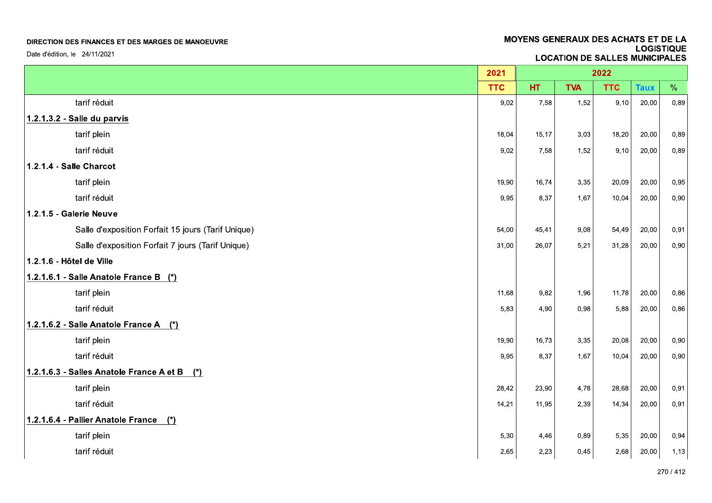| DIRECTION DES FINANCES ET DES MARGES DE MANOEUVRE<br>Date d'édition, le 24/11/2021 |            | MOYENS GENERAUX DES ACHATS ET DE LA<br><b>LOGISTIQUE</b><br><b>LOCATION DE SALLES MUNICIPALES</b> |            |            |             |           |  |  |
|------------------------------------------------------------------------------------|------------|---------------------------------------------------------------------------------------------------|------------|------------|-------------|-----------|--|--|
|                                                                                    |            |                                                                                                   |            |            |             |           |  |  |
|                                                                                    | 2021       |                                                                                                   |            | 2022       |             |           |  |  |
|                                                                                    | <b>TTC</b> | HT.                                                                                               | <b>TVA</b> | <b>TTC</b> | <b>Taux</b> | $\%$      |  |  |
| tarif réduit                                                                       | 9,02       | 7,58                                                                                              | 1,52       | 9,10       | 20,00       | 0,89      |  |  |
| 1.2.1.3.2 - Salle du parvis                                                        |            |                                                                                                   |            |            |             |           |  |  |
| tarif plein                                                                        | 18,04      | 15, 17                                                                                            | 3,03       | 18,20      | 20,00       | 0,89      |  |  |
| tarif réduit                                                                       | 9,02       | 7,58                                                                                              | 1,52       | 9,10       | 20,00       | 0,89      |  |  |
| 1.2.1.4 - Salle Charcot                                                            |            |                                                                                                   |            |            |             |           |  |  |
| tarif plein                                                                        | 19,90      | 16,74                                                                                             | 3,35       | 20,09      | 20,00       | 0,95      |  |  |
| tarif réduit                                                                       | 9,95       | 8,37                                                                                              | 1,67       | 10,04      | 20,00       | 0,90      |  |  |
| 1.2.1.5 - Galerie Neuve                                                            |            |                                                                                                   |            |            |             |           |  |  |
| Salle d'exposition Forfait 15 jours (Tarif Unique)                                 | 54,00      | 45,41                                                                                             | 9,08       | 54,49      | 20,00       | 0,91      |  |  |
| Salle d'exposition Forfait 7 jours (Tarif Unique)<br>1.2.1.6 - Hôtel de Ville      | 31,00      | 26,07                                                                                             | 5,21       | 31,28      | 20,00       | 0,90      |  |  |
|                                                                                    |            |                                                                                                   |            |            |             |           |  |  |
| 1.2.1.6.1 - Salle Anatole France B (*)<br>tarif plein                              | 11,68      | 9,82                                                                                              | 1,96       | 11,78      | 20,00       | 0,86      |  |  |
| tarif réduit                                                                       | 5,83       | 4,90                                                                                              | 0,98       | 5,88       | 20,00       | 0,86      |  |  |
| 1.2.1.6.2 - Salle Anatole France A (*)                                             |            |                                                                                                   |            |            |             |           |  |  |
| tarif plein                                                                        | 19,90      | 16,73                                                                                             | 3,35       | 20,08      | 20,00       | 0,90      |  |  |
| tarif réduit                                                                       | 9,95       | 8,37                                                                                              | 1,67       | 10,04      | 20,00       | 0,90      |  |  |
| 1.2.1.6.3 - Salles Anatole France A et B (*)                                       |            |                                                                                                   |            |            |             |           |  |  |
| tarif plein                                                                        | 28,42      | 23,90                                                                                             | 4,78       | 28,68      | 20,00       | 0,91      |  |  |
| tarif réduit                                                                       | 14,21      | 11,95                                                                                             | 2,39       | 14,34      | 20,00       | 0,91      |  |  |
| 1.2.1.6.4 - Pallier Anatole France (*)                                             |            |                                                                                                   |            |            |             |           |  |  |
| tarif plein                                                                        | 5,30       | 4,46                                                                                              | 0,89       | 5,35       | 20,00       | 0,94      |  |  |
| tarif réduit                                                                       | 2,65       | 2,23                                                                                              | 0,45       | 2,68       | 20,00       | 1,13      |  |  |
|                                                                                    |            |                                                                                                   |            |            |             | 270 / 412 |  |  |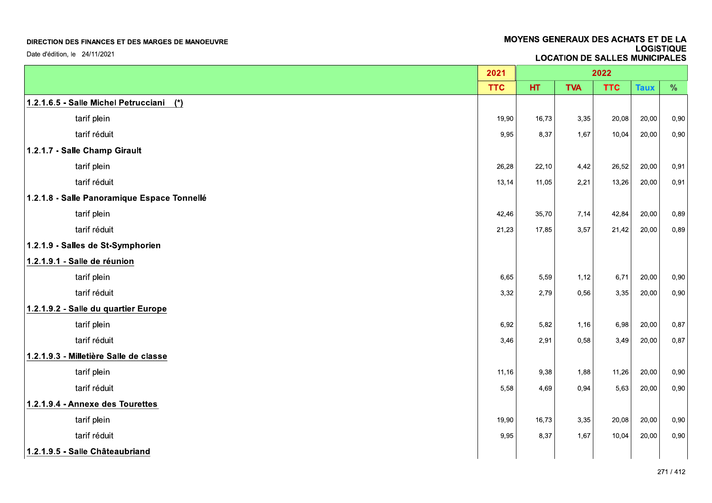| DIRECTION DES FINANCES ET DES MARGES DE MANOEUVRE | MOYENS GENERAUX DES ACHATS ET DE LA<br><b>LOGISTIQUE</b> |       |              |                                       |             |      |
|---------------------------------------------------|----------------------------------------------------------|-------|--------------|---------------------------------------|-------------|------|
| Date d'édition, le 24/11/2021                     |                                                          |       |              | <b>LOCATION DE SALLES MUNICIPALES</b> |             |      |
|                                                   | 2021                                                     |       |              | 2022                                  |             |      |
|                                                   | <b>TTC</b>                                               | HT.   | <b>TVA</b>   | <b>TTC</b>                            | <b>Taux</b> | $\%$ |
| 1.2.1.6.5 - Salle Michel Petrucciani (*)          |                                                          |       |              |                                       |             |      |
| tarif plein                                       | 19,90                                                    | 16,73 | 3,35         | 20,08                                 | 20,00       | 0,90 |
| tarif réduit                                      | 9,95                                                     | 8,37  | 1,67         | 10,04                                 | 20,00       | 0,90 |
| 1.2.1.7 - Salle Champ Girault                     |                                                          |       |              |                                       |             |      |
| tarif plein                                       | 26,28                                                    | 22,10 | 4,42         | 26,52                                 | 20,00       | 0,91 |
| tarif réduit                                      | 13,14                                                    | 11,05 | 2,21         | 13,26                                 | 20,00       | 0,91 |
| 1.2.1.8 - Salle Panoramique Espace Tonnellé       |                                                          |       |              |                                       |             |      |
| tarif plein                                       | 42,46                                                    | 35,70 | 7,14         | 42,84                                 | 20,00       | 0,89 |
| tarif réduit                                      | 21,23                                                    | 17,85 | 3,57         | 21,42                                 | 20,00       | 0,89 |
| 1.2.1.9 - Salles de St-Symphorien                 |                                                          |       |              |                                       |             |      |
| 1.2.1.9.1 - Salle de réunion                      |                                                          |       |              |                                       |             |      |
| tarif plein                                       | 6,65                                                     | 5,59  | 1,12         | 6,71                                  | 20,00       | 0,90 |
| tarif réduit                                      | 3,32                                                     | 2,79  | 0,56         | 3,35                                  | 20,00       | 0,90 |
| 1.2.1.9.2 - Salle du quartier Europe              |                                                          |       |              |                                       |             |      |
| tarif plein                                       | 6,92                                                     | 5,82  | 1,16         | 6,98                                  | 20,00       | 0,87 |
| tarif réduit                                      | 3,46                                                     | 2,91  | 0,58         | 3,49                                  | 20,00       | 0,87 |
| 1.2.1.9.3 - Milletière Salle de classe            |                                                          |       |              |                                       |             |      |
| tarif plein                                       | 11,16                                                    | 9,38  | 1,88         | 11,26                                 | 20,00       | 0,90 |
| tarif réduit                                      | 5,58                                                     | 4,69  | 0,94         | 5,63                                  | 20,00       | 0,90 |
| 1.2.1.9.4 - Annexe des Tourettes                  |                                                          | 16,73 |              |                                       |             |      |
| tarif plein<br>tarif réduit                       | 19,90                                                    |       | 3,35<br>1,67 | 20,08                                 | 20,00       | 0,90 |
|                                                   | 9,95                                                     | 8,37  |              | 10,04                                 | 20,00       | 0,90 |
| 1.2.1.9.5 - Salle Châteaubriand                   |                                                          |       |              |                                       |             |      |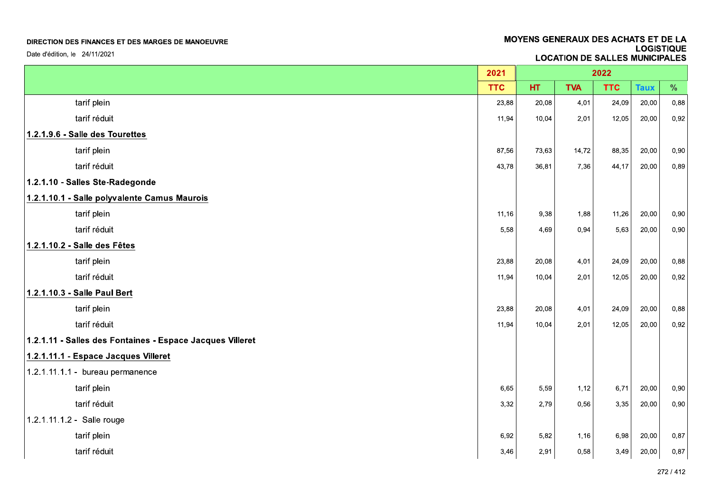| DIRECTION DES FINANCES ET DES MARGES DE MANOEUVRE         |            | MOYENS GENERAUX DES ACHATS ET DE LA<br><b>LOGISTIQUE</b><br><b>LOCATION DE SALLES MUNICIPALES</b> |            |            |             |           |  |  |
|-----------------------------------------------------------|------------|---------------------------------------------------------------------------------------------------|------------|------------|-------------|-----------|--|--|
| Date d'édition, le 24/11/2021                             |            |                                                                                                   |            |            |             |           |  |  |
|                                                           | 2021       |                                                                                                   |            | 2022       |             |           |  |  |
|                                                           | <b>TTC</b> | HT.                                                                                               | <b>TVA</b> | <b>TTC</b> | <b>Taux</b> | $\%$      |  |  |
| tarif plein                                               | 23,88      | 20,08                                                                                             | 4,01       | 24,09      | 20,00       | 0,88      |  |  |
| tarif réduit                                              | 11,94      | 10,04                                                                                             | 2,01       | 12,05      | 20,00       | 0,92      |  |  |
| 1.2.1.9.6 - Salle des Tourettes                           |            |                                                                                                   |            |            |             |           |  |  |
| tarif plein                                               | 87,56      | 73,63                                                                                             | 14,72      | 88,35      | 20,00       | 0,90      |  |  |
| tarif réduit                                              | 43,78      | 36,81                                                                                             | 7,36       | 44,17      | 20,00       | 0,89      |  |  |
| 1.2.1.10 - Salles Ste-Radegonde                           |            |                                                                                                   |            |            |             |           |  |  |
| 1.2.1.10.1 - Salle polyvalente Camus Maurois              |            |                                                                                                   |            |            |             |           |  |  |
| tarif plein                                               | 11,16      | 9,38                                                                                              | 1,88       | 11,26      | 20,00       | 0,90      |  |  |
| tarif réduit                                              | 5,58       | 4,69                                                                                              | 0,94       | 5,63       | 20,00       | 0,90      |  |  |
| 1.2.1.10.2 - Salle des Fêtes                              |            |                                                                                                   |            |            |             |           |  |  |
| tarif plein                                               | 23,88      | 20,08                                                                                             | 4,01       | 24,09      | 20,00       | 0,88      |  |  |
| tarif réduit                                              | 11,94      | 10,04                                                                                             | 2,01       | 12,05      | 20,00       | 0,92      |  |  |
| 1.2.1.10.3 - Salle Paul Bert                              |            |                                                                                                   |            |            |             |           |  |  |
| tarif plein                                               | 23,88      | 20,08                                                                                             | 4,01       | 24,09      | 20,00       | 0,88      |  |  |
| tarif réduit                                              | 11,94      | 10,04                                                                                             | 2,01       | 12,05      | 20,00       | 0,92      |  |  |
| 1.2.1.11 - Salles des Fontaines - Espace Jacques Villeret |            |                                                                                                   |            |            |             |           |  |  |
| 1.2.1.11.1 - Espace Jacques Villeret                      |            |                                                                                                   |            |            |             |           |  |  |
| 1.2.1.11.1.1 - bureau permanence                          |            |                                                                                                   |            |            |             |           |  |  |
| tarif plein                                               | 6,65       | 5,59                                                                                              | 1,12       | 6,71       | 20,00       | 0,90      |  |  |
| tarif réduit                                              | 3,32       | 2,79                                                                                              | 0,56       | 3,35       | 20,00       | 0,90      |  |  |
| 1.2.1.11.1.2 - Salle rouge                                |            |                                                                                                   |            |            |             |           |  |  |
| tarif plein                                               | 6,92       | 5,82                                                                                              | 1,16       | 6,98       | 20,00       | 0,87      |  |  |
| tarif réduit                                              | 3,46       | 2,91                                                                                              | 0,58       | 3,49       | 20,00       | 0,87      |  |  |
|                                                           |            |                                                                                                   |            |            |             | 272 / 412 |  |  |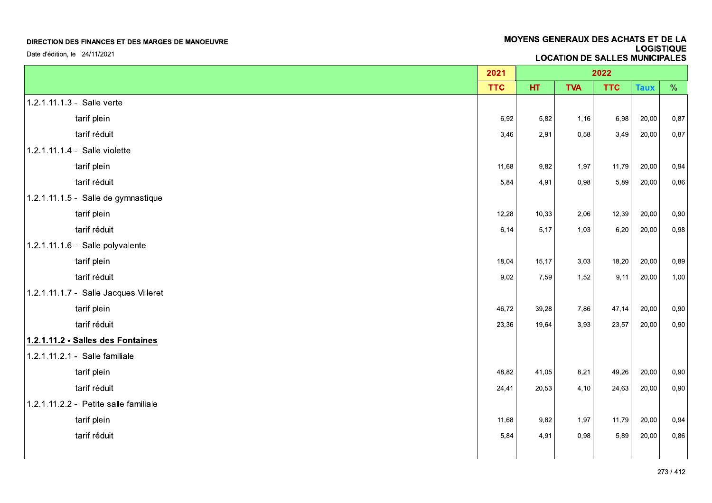Date d'édition, le 24/11/2021

|                                       | 2021       |        |            | 2022       |             |               |
|---------------------------------------|------------|--------|------------|------------|-------------|---------------|
|                                       | <b>TTC</b> | HT.    | <b>TVA</b> | <b>TTC</b> | <b>Taux</b> | $\frac{0}{0}$ |
| 1.2.1.11.1.3 - Salle verte            |            |        |            |            |             |               |
| tarif plein                           | 6,92       | 5,82   | 1,16       | 6,98       | 20,00       | 0,87          |
| tarif réduit                          | 3,46       | 2,91   | 0,58       | 3,49       | 20,00       | 0,87          |
| 1.2.1.11.1.4 - Salle violette         |            |        |            |            |             |               |
| tarif plein                           | 11,68      | 9,82   | 1,97       | 11,79      | 20,00       | 0,94          |
| tarif réduit                          | 5,84       | 4,91   | 0,98       | 5,89       | 20,00       | 0,86          |
| 1.2.1.11.1.5 - Salle de gymnastique   |            |        |            |            |             |               |
| tarif plein                           | 12,28      | 10,33  | 2,06       | 12,39      | 20,00       | 0,90          |
| tarif réduit                          | 6, 14      | 5,17   | 1,03       | 6,20       | 20,00       | 0,98          |
| 1.2.1.11.1.6 - Salle polyvalente      |            |        |            |            |             |               |
| tarif plein                           | 18,04      | 15, 17 | 3,03       | 18,20      | 20,00       | 0,89          |
| tarif réduit                          | 9,02       | 7,59   | 1,52       | 9,11       | 20,00       | 1,00          |
| 1.2.1.11.1.7 - Salle Jacques Villeret |            |        |            |            |             |               |
| tarif plein                           | 46,72      | 39,28  | 7,86       | 47,14      | 20,00       | 0,90          |
| tarif réduit                          | 23,36      | 19,64  | 3,93       | 23,57      | 20,00       | 0,90          |
| 1.2.1.11.2 - Salles des Fontaines     |            |        |            |            |             |               |
| 1.2.1.11.2.1 - Salle familiale        |            |        |            |            |             |               |
| tarif plein                           | 48,82      | 41,05  | 8,21       | 49,26      | 20,00       | 0,90          |
| tarif réduit                          | 24,41      | 20,53  | 4,10       | 24,63      | 20,00       | 0,90          |
| 1.2.1.11.2.2 - Petite salle familiale |            |        |            |            |             |               |
| tarif plein                           | 11,68      | 9,82   | 1,97       | 11,79      | 20,00       | 0,94          |
| tarif réduit                          | 5,84       | 4,91   | 0,98       | 5,89       | 20,00       | 0,86          |
|                                       |            |        |            |            |             |               |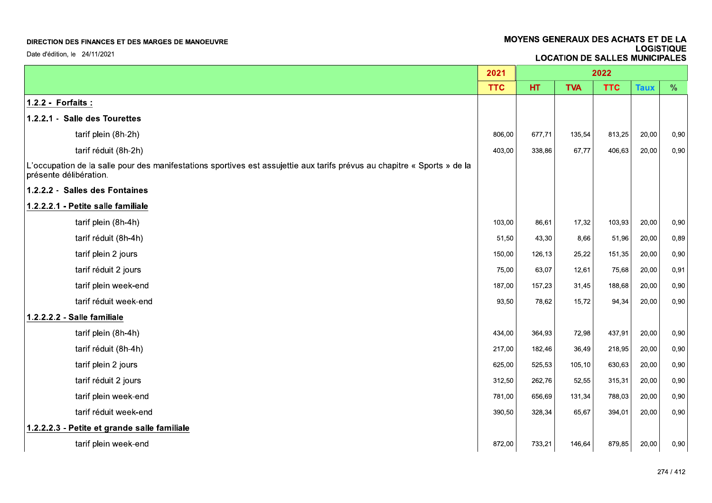Date d'édition, le 24/11/2021

|                                                                                                                                                    | 2021       |        |            | 2022       |             |      |
|----------------------------------------------------------------------------------------------------------------------------------------------------|------------|--------|------------|------------|-------------|------|
|                                                                                                                                                    | <b>TTC</b> | HT.    | <b>TVA</b> | <b>TTC</b> | <b>Taux</b> | $\%$ |
| 1.2.2 - Forfaits :                                                                                                                                 |            |        |            |            |             |      |
| 1.2.2.1 - Salle des Tourettes                                                                                                                      |            |        |            |            |             |      |
| tarif plein (8h-2h)                                                                                                                                | 806,00     | 677,71 | 135,54     | 813,25     | 20,00       | 0,90 |
| tarif réduit (8h-2h)                                                                                                                               | 403,00     | 338,86 | 67,77      | 406,63     | 20,00       | 0,90 |
| L'occupation de la salle pour des manifestations sportives est assujettie aux tarifs prévus au chapitre « Sports » de la<br>présente délibération. |            |        |            |            |             |      |
| 1.2.2.2 - Salles des Fontaines                                                                                                                     |            |        |            |            |             |      |
| 1.2.2.2.1 - Petite salle familiale                                                                                                                 |            |        |            |            |             |      |
| tarif plein (8h-4h)                                                                                                                                | 103.00     | 86,61  | 17,32      | 103,93     | 20,00       | 0,90 |
| tarif réduit (8h-4h)                                                                                                                               | 51,50      | 43,30  | 8,66       | 51,96      | 20,00       | 0,89 |
| tarif plein 2 jours                                                                                                                                | 150,00     | 126,13 | 25,22      | 151,35     | 20,00       | 0,90 |
| tarif réduit 2 jours                                                                                                                               | 75,00      | 63,07  | 12,61      | 75,68      | 20,00       | 0,91 |
| tarif plein week-end                                                                                                                               | 187,00     | 157,23 | 31,45      | 188,68     | 20,00       | 0,90 |
| tarif réduit week-end                                                                                                                              | 93,50      | 78.62  | 15,72      | 94,34      | 20,00       | 0,90 |
| 1.2.2.2.2 - Salle familiale                                                                                                                        |            |        |            |            |             |      |
| tarif plein (8h-4h)                                                                                                                                | 434,00     | 364,93 | 72,98      | 437,91     | 20,00       | 0,90 |
| tarif réduit (8h-4h)                                                                                                                               | 217,00     | 182,46 | 36,49      | 218,95     | 20,00       | 0,90 |
| tarif plein 2 jours                                                                                                                                | 625.00     | 525,53 | 105,10     | 630,63     | 20,00       | 0,90 |
| tarif réduit 2 jours                                                                                                                               | 312,50     | 262,76 | 52,55      | 315,31     | 20,00       | 0,90 |
| tarif plein week-end                                                                                                                               | 781,00     | 656,69 | 131,34     | 788,03     | 20,00       | 0,90 |
| tarif réduit week-end                                                                                                                              | 390,50     | 328,34 | 65,67      | 394,01     | 20,00       | 0,90 |
| 1.2.2.2.3 - Petite et grande salle familiale                                                                                                       |            |        |            |            |             |      |
| tarif plein week-end                                                                                                                               | 872,00     | 733,21 | 146,64     | 879,85     | 20,00       | 0,90 |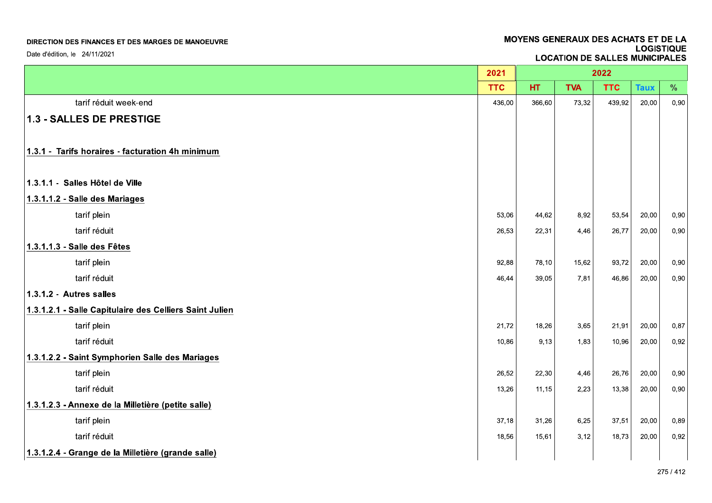|                                                         |            |                                       | MOYENS GENERAUX DES ACHATS ET DE LA |            | <b>LOGISTIQUE</b> |      |  |  |  |  |
|---------------------------------------------------------|------------|---------------------------------------|-------------------------------------|------------|-------------------|------|--|--|--|--|
| Date d'édition, le 24/11/2021                           |            | <b>LOCATION DE SALLES MUNICIPALES</b> |                                     |            |                   |      |  |  |  |  |
|                                                         | 2021       | 2022                                  |                                     |            |                   |      |  |  |  |  |
|                                                         | <b>TTC</b> | HT.                                   | <b>TVA</b>                          | <b>TTC</b> | <b>Taux</b>       | %    |  |  |  |  |
| tarif réduit week-end                                   | 436,00     | 366,60                                | 73,32                               | 439,92     | 20,00             | 0,90 |  |  |  |  |
| 1.3 - SALLES DE PRESTIGE                                |            |                                       |                                     |            |                   |      |  |  |  |  |
| 1.3.1 - Tarifs horaires - facturation 4h minimum        |            |                                       |                                     |            |                   |      |  |  |  |  |
| 1.3.1.1 - Salles Hôtel de Ville                         |            |                                       |                                     |            |                   |      |  |  |  |  |
| 1.3.1.1.2 - Salle des Mariages                          |            |                                       |                                     |            |                   |      |  |  |  |  |
| tarif plein                                             | 53,06      | 44,62                                 | 8,92                                | 53,54      | 20,00             | 0,90 |  |  |  |  |
| tarif réduit                                            | 26,53      | 22,31                                 | 4,46                                | 26,77      | 20,00             | 0,90 |  |  |  |  |
| 1.3.1.1.3 - Salle des Fêtes                             |            |                                       |                                     |            |                   |      |  |  |  |  |
| tarif plein                                             | 92,88      | 78,10                                 | 15,62                               | 93,72      | 20,00             | 0,90 |  |  |  |  |
| tarif réduit                                            | 46,44      | 39,05                                 | 7,81                                | 46,86      | 20,00             | 0,90 |  |  |  |  |
| 1.3.1.2 - Autres salles                                 |            |                                       |                                     |            |                   |      |  |  |  |  |
| 1.3.1.2.1 - Salle Capitulaire des Celliers Saint Julien |            |                                       |                                     |            |                   |      |  |  |  |  |
| tarif plein                                             | 21,72      | 18,26                                 | 3,65                                | 21,91      | 20,00             | 0,87 |  |  |  |  |
| tarif réduit                                            | 10,86      | 9,13                                  | 1,83                                | 10,96      | 20,00             | 0,92 |  |  |  |  |
| 1.3.1.2.2 - Saint Symphorien Salle des Mariages         |            |                                       |                                     |            |                   |      |  |  |  |  |
| tarif plein                                             | 26,52      | 22,30                                 | 4,46                                | 26,76      | 20,00             | 0,90 |  |  |  |  |
| tarif réduit                                            | 13,26      | 11,15                                 | 2,23                                | 13,38      | 20,00             | 0,90 |  |  |  |  |
| 1.3.1.2.3 - Annexe de la Milletière (petite salle)      |            |                                       |                                     |            |                   |      |  |  |  |  |
| tarif plein                                             | 37,18      | 31,26                                 | 6,25                                | 37,51      | 20,00             | 0,89 |  |  |  |  |
| tarif réduit                                            | 18,56      | 15,61                                 | 3,12                                | 18,73      | 20,00             | 0,92 |  |  |  |  |
| 1.3.1.2.4 - Grange de la Milletière (grande salle)      |            |                                       |                                     |            |                   |      |  |  |  |  |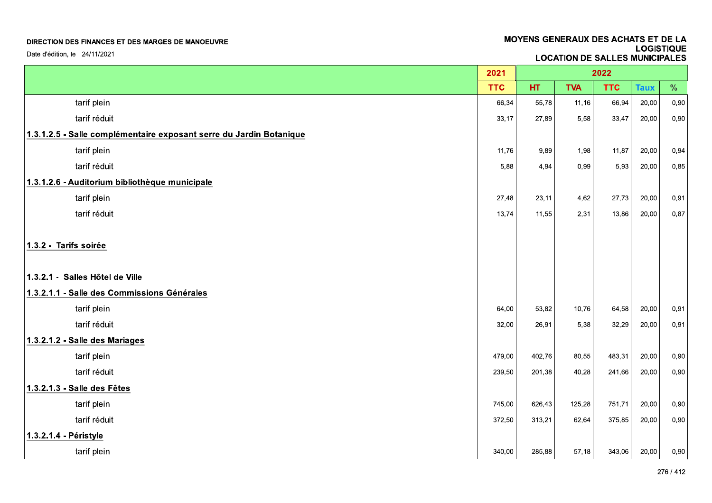| Date d'édition, le 24/11/2021                                       |            | MOYENS GENERAUX DES ACHATS ET DE LA<br><b>LOGISTIQUE</b><br><b>LOCATION DE SALLES MUNICIPALES</b> |            |            |             |      |
|---------------------------------------------------------------------|------------|---------------------------------------------------------------------------------------------------|------------|------------|-------------|------|
|                                                                     |            |                                                                                                   |            |            |             |      |
|                                                                     | 2021       |                                                                                                   |            | 2022       |             |      |
|                                                                     | <b>TTC</b> | HT.                                                                                               | <b>TVA</b> | <b>TTC</b> | <b>Taux</b> | $\%$ |
| tarif plein                                                         | 66,34      | 55,78                                                                                             | 11,16      | 66,94      | 20,00       | 0,90 |
| tarif réduit                                                        | 33,17      | 27,89                                                                                             | 5,58       | 33,47      | 20,00       | 0,90 |
| 1.3.1.2.5 - Salle complémentaire exposant serre du Jardin Botanique |            |                                                                                                   |            |            |             |      |
| tarif plein                                                         | 11,76      | 9,89                                                                                              | 1,98       | 11,87      | 20,00       | 0,94 |
| tarif réduit                                                        | 5,88       | 4,94                                                                                              | 0,99       | 5,93       | 20,00       | 0,85 |
| 1.3.1.2.6 - Auditorium bibliothèque municipale                      |            |                                                                                                   |            |            |             |      |
| tarif plein                                                         | 27,48      | 23,11                                                                                             | 4,62       | 27,73      | 20,00       | 0,91 |
| tarif réduit                                                        | 13,74      | 11,55                                                                                             | 2,31       | 13,86      | 20,00       | 0,87 |
| 1.3.2 - Tarifs soirée                                               |            |                                                                                                   |            |            |             |      |
| 1.3.2.1 - Salles Hôtel de Ville                                     |            |                                                                                                   |            |            |             |      |
| 1.3.2.1.1 - Salle des Commissions Générales                         |            |                                                                                                   |            |            |             |      |
| tarif plein                                                         | 64,00      | 53,82                                                                                             | 10,76      | 64,58      | 20,00       | 0,91 |
| tarif réduit                                                        | 32,00      | 26,91                                                                                             | 5,38       | 32,29      | 20,00       | 0,91 |
| 1.3.2.1.2 - Salle des Mariages                                      |            |                                                                                                   |            |            |             |      |
| tarif plein                                                         | 479,00     | 402,76                                                                                            | 80,55      | 483,31     | 20,00       | 0,90 |
| tarif réduit                                                        | 239,50     | 201,38                                                                                            | 40,28      | 241,66     | 20,00       | 0,90 |
| 1.3.2.1.3 - Salle des Fêtes                                         |            |                                                                                                   |            |            |             |      |
| tarif plein                                                         | 745,00     | 626,43                                                                                            | 125,28     | 751,71     | 20,00       | 0,90 |
| tarif réduit                                                        | 372,50     | 313,21                                                                                            | 62,64      | 375,85     | 20,00       | 0,90 |
| 1.3.2.1.4 - Péristyle                                               |            |                                                                                                   |            |            |             |      |
| tarif plein                                                         | 340,00     | 285,88                                                                                            | 57,18      | 343,06     | 20,00       | 0,90 |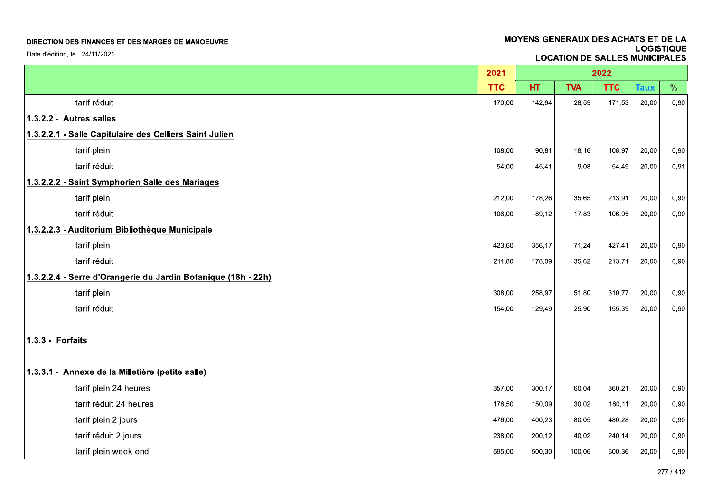| DIRECTION DES FINANCES ET DES MARGES DE MANOEUVRE<br>Date d'édition, le 24/11/2021 |            |        | <b>MOYENS GENERAUX DES ACHATS ET DE LA</b><br><b>LOGISTIQUE</b><br><b>LOCATION DE SALLES MUNICIPALES</b> |            |             |      |  |
|------------------------------------------------------------------------------------|------------|--------|----------------------------------------------------------------------------------------------------------|------------|-------------|------|--|
|                                                                                    |            |        |                                                                                                          |            |             |      |  |
|                                                                                    | 2021       |        |                                                                                                          | 2022       |             |      |  |
|                                                                                    | <b>TTC</b> | HT.    | <b>TVA</b>                                                                                               | <b>TTC</b> | <b>Taux</b> | $\%$ |  |
| tarif réduit                                                                       | 170,00     | 142,94 | 28,59                                                                                                    | 171,53     | 20,00       | 0,90 |  |
| 1.3.2.2 - Autres salles                                                            |            |        |                                                                                                          |            |             |      |  |
| 1.3.2.2.1 - Salle Capitulaire des Celliers Saint Julien                            |            |        |                                                                                                          |            |             |      |  |
| tarif plein                                                                        | 108,00     | 90,81  | 18,16                                                                                                    | 108,97     | 20,00       | 0,90 |  |
| tarif réduit                                                                       | 54,00      | 45,41  | 9,08                                                                                                     | 54,49      | 20,00       | 0,91 |  |
| 1.3.2.2.2 - Saint Symphorien Salle des Mariages<br>tarif plein                     | 212,00     | 178,26 | 35,65                                                                                                    | 213,91     | 20,00       | 0,90 |  |
| tarif réduit                                                                       | 106,00     | 89,12  | 17,83                                                                                                    | 106,95     | 20,00       | 0,90 |  |
| 1.3.2.2.3 - Auditorium Bibliothèque Municipale                                     |            |        |                                                                                                          |            |             |      |  |
| tarif plein                                                                        | 423,60     | 356,17 | 71,24                                                                                                    | 427,41     | 20,00       | 0,90 |  |
| tarif réduit                                                                       | 211,80     | 178,09 | 35,62                                                                                                    | 213,71     | 20,00       | 0,90 |  |
| 1.3.2.2.4 - Serre d'Orangerie du Jardin Botanique (18h - 22h)                      |            |        |                                                                                                          |            |             |      |  |
| tarif plein                                                                        | 308,00     | 258,97 | 51,80                                                                                                    | 310,77     | 20,00       | 0,90 |  |
| tarif réduit                                                                       | 154,00     | 129,49 | 25,90                                                                                                    | 155,39     | 20,00       | 0,90 |  |
| 1.3.3 - Forfaits                                                                   |            |        |                                                                                                          |            |             |      |  |
| 1.3.3.1 - Annexe de la Milletière (petite salle)                                   |            |        |                                                                                                          |            |             |      |  |
| tarif plein 24 heures                                                              | 357,00     | 300,17 | 60,04                                                                                                    | 360,21     | 20,00       | 0,90 |  |
| tarif réduit 24 heures                                                             | 178,50     | 150,09 | 30,02                                                                                                    | 180,11     | 20,00       | 0,90 |  |
| tarif plein 2 jours                                                                | 476,00     | 400,23 | 80,05                                                                                                    | 480,28     | 20,00       | 0,90 |  |
| tarif réduit 2 jours                                                               | 238,00     | 200,12 | 40,02                                                                                                    | 240, 14    | 20,00       | 0,90 |  |
| tarif plein week-end                                                               | 595,00     | 500,30 | 100,06                                                                                                   | 600,36     | 20,00       | 0,90 |  |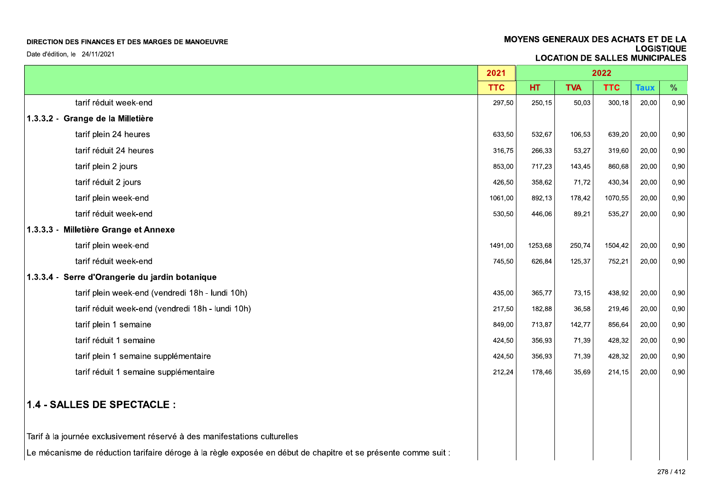| MOYENS GENERAUX DES ACHATS ET DE LA<br>DIRECTION DES FINANCES ET DES MARGES DE MANOEUVRE                       |            |         |                                       |            |             | <b>LOGISTIQUE</b> |
|----------------------------------------------------------------------------------------------------------------|------------|---------|---------------------------------------|------------|-------------|-------------------|
| Date d'édition, le 24/11/2021                                                                                  |            |         | <b>LOCATION DE SALLES MUNICIPALES</b> |            |             |                   |
|                                                                                                                | 2021       |         |                                       | 2022       |             |                   |
|                                                                                                                | <b>TTC</b> | HT.     | <b>TVA</b>                            | <b>TTC</b> | <b>Taux</b> | $\%$              |
| tarif réduit week-end                                                                                          | 297,50     | 250,15  | 50,03                                 | 300,18     | 20,00       | 0,90              |
| 1.3.3.2 - Grange de la Milletière                                                                              |            |         |                                       |            |             |                   |
| tarif plein 24 heures                                                                                          | 633,50     | 532,67  | 106,53                                | 639,20     | 20,00       | 0,90              |
| tarif réduit 24 heures                                                                                         | 316,75     | 266,33  | 53,27                                 | 319,60     | 20,00       | 0,90              |
| tarif plein 2 jours                                                                                            | 853,00     | 717,23  | 143,45                                | 860,68     | 20,00       | 0,90              |
| tarif réduit 2 jours                                                                                           | 426,50     | 358,62  | 71,72                                 | 430,34     | 20,00       | 0,90              |
| tarif plein week-end                                                                                           | 1061,00    | 892,13  | 178,42                                | 1070,55    | 20,00       | 0,90              |
| tarif réduit week-end                                                                                          | 530,50     | 446,06  | 89,21                                 | 535,27     | 20,00       | 0,90              |
| 1.3.3.3 - Milletière Grange et Annexe                                                                          |            |         |                                       |            |             |                   |
| tarif plein week-end                                                                                           | 1491,00    | 1253,68 | 250,74                                | 1504,42    | 20,00       | 0,90              |
| tarif réduit week-end                                                                                          | 745,50     | 626,84  | 125,37                                | 752,21     | 20,00       | 0,90              |
| 1.3.3.4 - Serre d'Orangerie du jardin botanique                                                                |            |         |                                       |            |             |                   |
| tarif plein week-end (vendredi 18h - lundi 10h)                                                                | 435,00     | 365,77  | 73,15                                 | 438,92     | 20,00       | 0,90              |
| tarif réduit week-end (vendredi 18h - lundi 10h)                                                               | 217,50     | 182,88  | 36,58                                 | 219,46     | 20,00       | 0,90              |
| tarif plein 1 semaine                                                                                          | 849,00     | 713,87  | 142,77                                | 856,64     | 20,00       | 0,90              |
| tarif réduit 1 semaine                                                                                         | 424,50     | 356,93  | 71,39                                 | 428,32     | 20,00       | 0,90              |
| tarif plein 1 semaine supplémentaire                                                                           | 424,50     | 356,93  | 71,39                                 | 428,32     | 20,00       | 0,90              |
| tarif réduit 1 semaine supplémentaire                                                                          | 212,24     | 178,46  | 35,69                                 | 214, 15    | 20,00       | 0,90              |
| 1.4 - SALLES DE SPECTACLE :                                                                                    |            |         |                                       |            |             |                   |
| Tarif à la journée exclusivement réservé à des manifestations culturelles                                      |            |         |                                       |            |             |                   |
| Le mécanisme de réduction tarifaire déroge à la règle exposée en début de chapitre et se présente comme suit : |            |         |                                       |            |             |                   |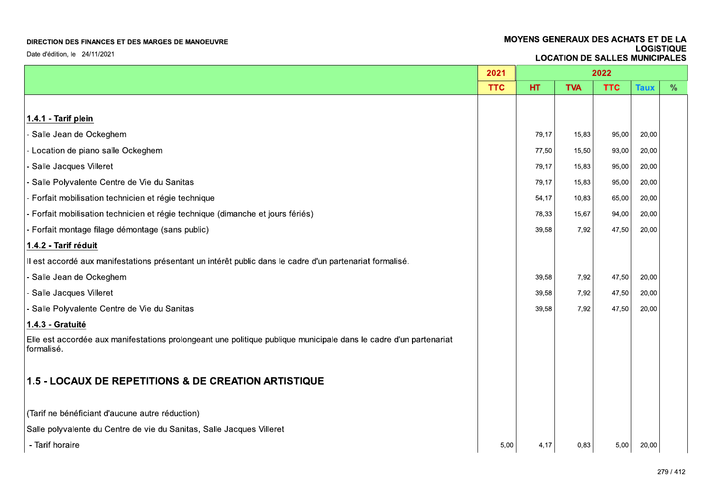Date d'édition, le 24/11/2021

|                                                                                                                                 | 2021       | 2022  |            |            |             |               |
|---------------------------------------------------------------------------------------------------------------------------------|------------|-------|------------|------------|-------------|---------------|
|                                                                                                                                 | <b>TTC</b> | HT.   | <b>TVA</b> | <b>TTC</b> | <b>Taux</b> | $\frac{0}{0}$ |
|                                                                                                                                 |            |       |            |            |             |               |
| 1.4.1 - Tarif plein                                                                                                             |            |       |            |            |             |               |
| - Salle Jean de Ockeghem                                                                                                        |            | 79,17 | 15,83      | 95,00      | 20,00       |               |
| - Location de piano salle Ockeghem                                                                                              |            | 77,50 | 15,50      | 93,00      | 20,00       |               |
| - Salle Jacques Villeret                                                                                                        |            | 79,17 | 15,83      | 95,00      | 20,00       |               |
| - Salle Polyvalente Centre de Vie du Sanitas                                                                                    |            | 79,17 | 15,83      | 95,00      | 20,00       |               |
| - Forfait mobilisation technicien et régie technique                                                                            |            | 54,17 | 10,83      | 65,00      | 20,00       |               |
| - Forfait mobilisation technicien et régie technique (dimanche et jours fériés)                                                 |            | 78,33 | 15,67      | 94,00      | 20,00       |               |
| - Forfait montage filage démontage (sans public)                                                                                |            | 39.58 | 7,92       | 47,50      | 20,00       |               |
| 1.4.2 - Tarif réduit                                                                                                            |            |       |            |            |             |               |
| Il est accordé aux manifestations présentant un intérêt public dans le cadre d'un partenariat formalisé.                        |            |       |            |            |             |               |
| - Salle Jean de Ockeghem                                                                                                        |            | 39,58 | 7,92       | 47,50      | 20,00       |               |
| - Salle Jacques Villeret                                                                                                        |            | 39,58 | 7,92       | 47,50      | 20,00       |               |
| - Salle Polyvalente Centre de Vie du Sanitas                                                                                    |            | 39,58 | 7,92       | 47,50      | 20,00       |               |
| 1.4.3 - Gratuité                                                                                                                |            |       |            |            |             |               |
| Elle est accordée aux manifestations prolongeant une politique publique municipale dans le cadre d'un partenariat<br>formalisé. |            |       |            |            |             |               |
| 1.5 - LOCAUX DE REPETITIONS & DE CREATION ARTISTIQUE                                                                            |            |       |            |            |             |               |
| (Tarif ne bénéficiant d'aucune autre réduction)                                                                                 |            |       |            |            |             |               |
| Salle polyvalente du Centre de vie du Sanitas, Salle Jacques Villeret                                                           |            |       |            |            |             |               |
| - Tarif horaire                                                                                                                 | 5,00       | 4,17  | 0,83       | 5,00       | 20,00       |               |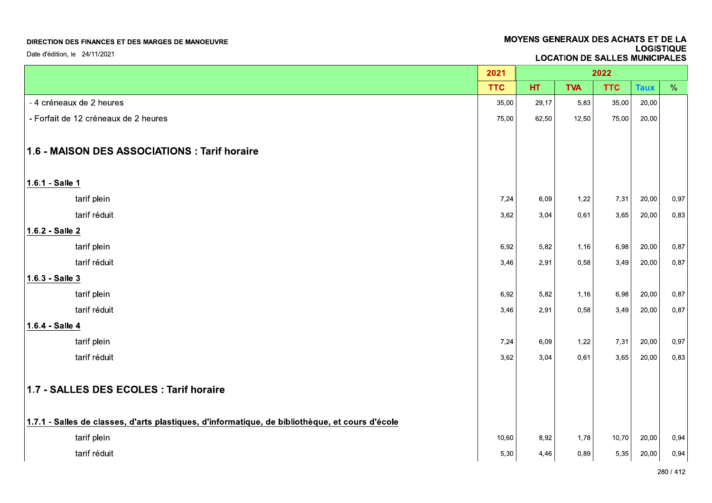Date d'édition, le 24/11/2021

|                                                                                                         | 2021       | 2022  |            |            |             |               |
|---------------------------------------------------------------------------------------------------------|------------|-------|------------|------------|-------------|---------------|
|                                                                                                         | <b>TTC</b> | HT.   | <b>TVA</b> | <b>TTC</b> | <b>Taux</b> | $\frac{0}{0}$ |
| - 4 créneaux de 2 heures                                                                                | 35,00      | 29,17 | 5,83       | 35,00      | 20,00       |               |
| - Forfait de 12 créneaux de 2 heures                                                                    | 75,00      | 62,50 | 12,50      | 75,00      | 20,00       |               |
|                                                                                                         |            |       |            |            |             |               |
| 1.6 - MAISON DES ASSOCIATIONS : Tarif horaire                                                           |            |       |            |            |             |               |
|                                                                                                         |            |       |            |            |             |               |
| 1.6.1 - Salle 1                                                                                         |            |       |            |            |             |               |
| tarif plein                                                                                             | 7,24       | 6,09  | 1,22       | 7,31       | 20,00       | 0,97          |
| tarif réduit                                                                                            | 3,62       | 3,04  | 0,61       | 3,65       | 20,00       | 0,83          |
| 1.6.2 - Salle 2                                                                                         |            |       |            |            |             |               |
| tarif plein                                                                                             | 6,92       | 5,82  | 1,16       | 6,98       | 20,00       | 0,87          |
| tarif réduit                                                                                            | 3,46       | 2,91  | 0,58       | 3,49       | 20,00       | 0,87          |
| $1.6.3 - Salle 3$                                                                                       |            |       |            |            |             |               |
| tarif plein                                                                                             | 6,92       | 5,82  | 1,16       | 6,98       | 20,00       | 0,87          |
| tarif réduit                                                                                            | 3,46       | 2,91  | 0,58       | 3,49       | 20,00       | 0,87          |
| 1.6.4 - Salle 4                                                                                         |            |       |            |            |             |               |
| tarif plein                                                                                             | 7,24       | 6,09  | 1,22       | 7,31       | 20,00       | 0,97          |
| tarif réduit                                                                                            | 3,62       | 3,04  | 0,61       | 3,65       | 20,00       | 0,83          |
|                                                                                                         |            |       |            |            |             |               |
| 1.7 - SALLES DES ECOLES : Tarif horaire                                                                 |            |       |            |            |             |               |
|                                                                                                         |            |       |            |            |             |               |
| $\vert$ 1.7.1 - Salles de classes, d'arts plastiques, d'informatique, de bibliothèque, et cours d'école |            |       |            |            |             |               |
| tarif plein                                                                                             | 10,60      | 8,92  | 1,78       | 10,70      | 20,00       | 0,94          |
| tarif réduit                                                                                            | 5,30       | 4,46  | 0,89       | 5,35       | 20,00       | 0,94          |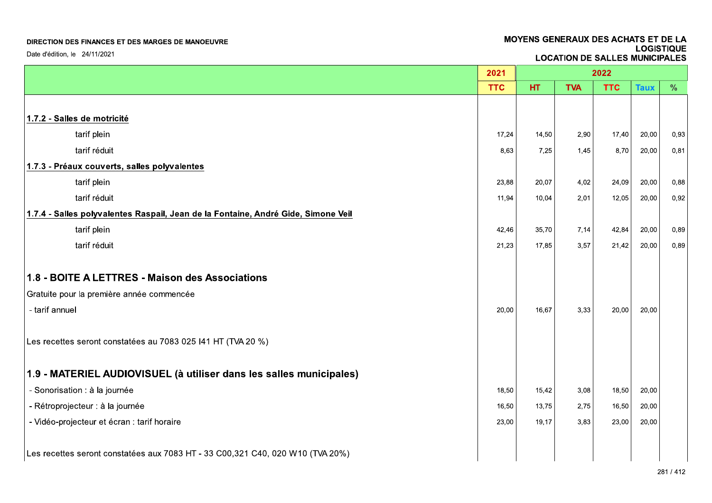Date d'édition, le 24/11/2021

|                                                                                   | 2021       | 2022  |            |            |             |               |  |
|-----------------------------------------------------------------------------------|------------|-------|------------|------------|-------------|---------------|--|
|                                                                                   | <b>TTC</b> | HT.   | <b>TVA</b> | <b>TTC</b> | <b>Taux</b> | $\frac{0}{0}$ |  |
|                                                                                   |            |       |            |            |             |               |  |
| 1.7.2 - Salles de motricité                                                       |            |       |            |            |             |               |  |
| tarif plein                                                                       | 17,24      | 14,50 | 2,90       | 17,40      | 20,00       | 0,93          |  |
| tarif réduit                                                                      | 8,63       | 7.25  | 1,45       | 8,70       | 20,00       | 0,81          |  |
| 1.7.3 - Préaux couverts, salles polyvalentes                                      |            |       |            |            |             |               |  |
| tarif plein                                                                       | 23,88      | 20,07 | 4,02       | 24,09      | 20,00       | 0,88          |  |
| tarif réduit                                                                      | 11,94      | 10,04 | 2,01       | 12,05      | 20,00       | 0,92          |  |
| 1.7.4 - Salles polyvalentes Raspail, Jean de la Fontaine, André Gide, Simone Veil |            |       |            |            |             |               |  |
| tarif plein                                                                       | 42,46      | 35,70 | 7,14       | 42,84      | 20,00       | 0,89          |  |
| tarif réduit                                                                      | 21,23      | 17,85 | 3,57       | 21,42      | 20,00       | 0,89          |  |
|                                                                                   |            |       |            |            |             |               |  |
| 1.8 - BOITE A LETTRES - Maison des Associations                                   |            |       |            |            |             |               |  |
| Gratuite pour la première année commencée                                         |            |       |            |            |             |               |  |
| - tarif annuel                                                                    | 20,00      | 16,67 | 3,33       | 20,00      | 20,00       |               |  |
|                                                                                   |            |       |            |            |             |               |  |
| Les recettes seront constatées au 7083 025 141 HT (TVA 20 %)                      |            |       |            |            |             |               |  |
| 1.9 - MATERIEL AUDIOVISUEL (à utiliser dans les salles municipales)               |            |       |            |            |             |               |  |
| - Sonorisation : à la journée                                                     | 18,50      | 15,42 | 3,08       | 18,50      | 20,00       |               |  |
| - Rétroprojecteur : à la journée                                                  | 16,50      | 13,75 | 2,75       | 16,50      | 20,00       |               |  |
| - Vidéo-projecteur et écran : tarif horaire                                       | 23,00      | 19,17 | 3,83       | 23,00      | 20,00       |               |  |
|                                                                                   |            |       |            |            |             |               |  |
| Les recettes seront constatées aux 7083 HT - 33 C00,321 C40, 020 W10 (TVA 20%)    |            |       |            |            |             |               |  |